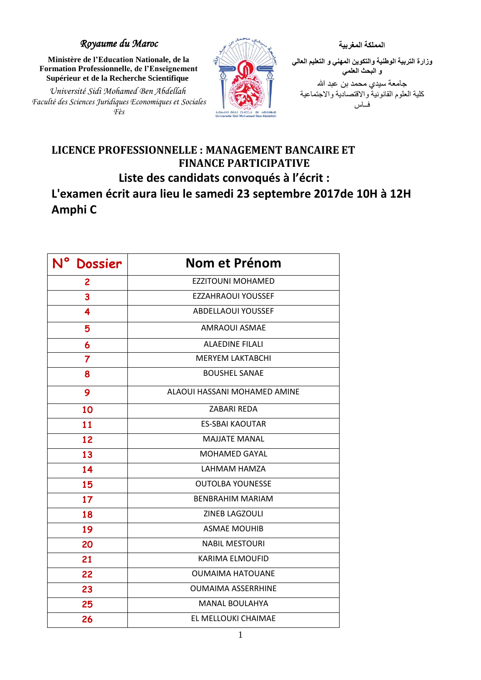## *Royaume du Maroc*

**Ministère de l'Education Nationale, de la Formation Professionnelle, de l'Enseignement Supérieur et de la Recherche Scientifique** 

*Université Sidi Mohamed Ben Abdellah Faculté des Sciences Juridiques Economiques et Sociales Fès* 



**المملكة المغربية وزارة التربية الوطنية والتكوين المهني و التعليم العالي و البحث العلمي** جامعة سيدي محمد بن عبد الله كلية العلوم القانونية واالقتصادية واالجتماعية فــاس

## **LICENCE PROFESSIONNELLE : MANAGEMENT BANCAIRE ET FINANCE PARTICIPATIVE Liste des candidats convoqués à l'écrit : L'examen écrit aura lieu le samedi 23 septembre 2017de 10H à 12H Amphi C**

| N <sup>o</sup><br><b>Dossier</b> | Nom et Prénom                |
|----------------------------------|------------------------------|
| $\overline{c}$                   | <b>EZZITOUNI MOHAMED</b>     |
| 3                                | <b>EZZAHRAOUI YOUSSEF</b>    |
| 4                                | ABDELLAOUI YOUSSEF           |
| 5                                | <b>AMRAOUI ASMAE</b>         |
| 6                                | <b>ALAFDINF FILALI</b>       |
| $\overline{7}$                   | <b>MERYEM LAKTABCHI</b>      |
| 8                                | <b>BOUSHEL SANAE</b>         |
| 9                                | ALAOUI HASSANI MOHAMED AMINE |
| 10                               | <b>ZABARI REDA</b>           |
| 11                               | <b>ES-SBAI KAOUTAR</b>       |
| 12                               | <b>MAJJATE MANAL</b>         |
| 13                               | <b>MOHAMED GAYAL</b>         |
| 14                               | LAHMAM HAMZA                 |
| 15                               | <b>OUTOLBA YOUNESSE</b>      |
| 17                               | <b>BENBRAHIM MARIAM</b>      |
| 18                               | ZINEB LAGZOULI               |
| 19                               | <b>ASMAE MOUHIB</b>          |
| 20                               | <b>NABIL MESTOURI</b>        |
| 21                               | KARIMA ELMOUFID              |
| 22                               | <b>OUMAIMA HATOUANE</b>      |
| 23                               | <b>OUMAIMA ASSERRHINE</b>    |
| 25                               | <b>MANAL BOULAHYA</b>        |
| 26                               | EL MELLOUKI CHAIMAE          |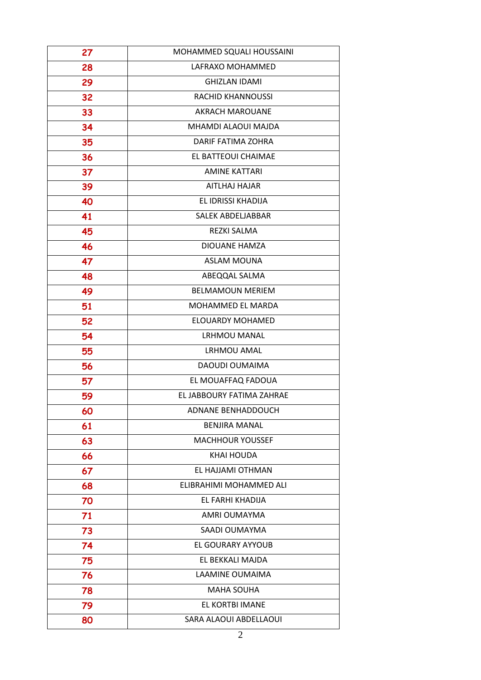| 27 | MOHAMMED SQUALI HOUSSAINI |
|----|---------------------------|
| 28 | LAFRAXO MOHAMMED          |
| 29 | <b>GHIZLAN IDAMI</b>      |
| 32 | RACHID KHANNOUSSI         |
| 33 | <b>AKRACH MAROUANE</b>    |
| 34 | MHAMDI ALAOUI MAJDA       |
| 35 | DARIF FATIMA ZOHRA        |
| 36 | EL BATTEOUI CHAIMAE       |
| 37 | <b>AMINE KATTARI</b>      |
| 39 | AITLHAJ HAJAR             |
| 40 | EL IDRISSI KHADIJA        |
| 41 | <b>SALEK ABDELJABBAR</b>  |
| 45 | <b>REZKI SALMA</b>        |
| 46 | <b>DIOUANE HAMZA</b>      |
| 47 | <b>ASLAM MOUNA</b>        |
| 48 | ABEQQAL SALMA             |
| 49 | <b>BELMAMOUN MERIEM</b>   |
| 51 | MOHAMMED EL MARDA         |
| 52 | ELOUARDY MOHAMED          |
| 54 | <b>LRHMOU MANAL</b>       |
| 55 | LRHMOU AMAL               |
| 56 | <b>DAOUDI OUMAIMA</b>     |
| 57 | EL MOUAFFAQ FADOUA        |
| 59 | EL JABBOURY FATIMA ZAHRAE |
| 60 | ADNANE BENHADDOUCH        |
| 61 | <b>BENJIRA MANAL</b>      |
| 63 | <b>MACHHOUR YOUSSEF</b>   |
| 66 | <b>KHAI HOUDA</b>         |
| 67 | EL HAJJAMI OTHMAN         |
| 68 | ELIBRAHIMI MOHAMMED ALI   |
| 70 | EL FARHI KHADIJA          |
| 71 | AMRI OUMAYMA              |
| 73 | SAADI OUMAYMA             |
| 74 | EL GOURARY AYYOUB         |
| 75 | EL BEKKALI MAJDA          |
| 76 | LAAMINE OUMAIMA           |
| 78 | <b>MAHA SOUHA</b>         |
| 79 | EL KORTBI IMANE           |
| 80 | SARA ALAOUI ABDELLAOUI    |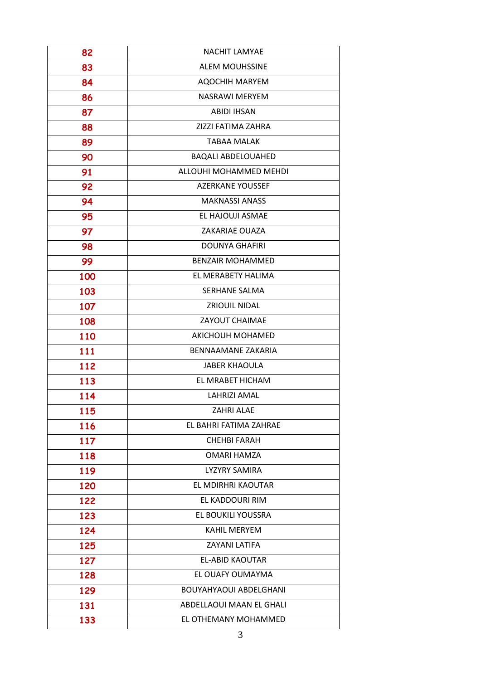| 82  | <b>NACHIT LAMYAE</b>          |
|-----|-------------------------------|
| 83  | <b>ALEM MOUHSSINE</b>         |
| 84  | <b>AQOCHIH MARYEM</b>         |
| 86  | <b>NASRAWI MERYEM</b>         |
| 87  | <b>ABIDI IHSAN</b>            |
| 88  | ZIZZI FATIMA ZAHRA            |
| 89  | <b>TABAA MALAK</b>            |
| 90  | <b>BAQALI ABDELOUAHED</b>     |
| 91  | ALLOUHI MOHAMMED MEHDI        |
| 92  | <b>AZERKANE YOUSSEF</b>       |
| 94  | <b>MAKNASSI ANASS</b>         |
| 95  | EL HAJOUJI ASMAE              |
| 97  | ZAKARIAE OUAZA                |
| 98  | <b>DOUNYA GHAFIRI</b>         |
| 99  | <b>BENZAIR MOHAMMED</b>       |
| 100 | EL MERABETY HALIMA            |
| 103 | <b>SERHANE SALMA</b>          |
| 107 | <b>ZRIOUIL NIDAL</b>          |
| 108 | <b>ZAYOUT CHAIMAE</b>         |
| 110 | AKICHOUH MOHAMED              |
| 111 | BENNAAMANE ZAKARIA            |
| 112 | <b>JABER KHAOULA</b>          |
| 113 | EL MRABET HICHAM              |
| 114 | <b>LAHRIZI AMAL</b>           |
| 115 | ZAHRI ALAE                    |
| 116 | EL BAHRI FATIMA ZAHRAE        |
| 117 | <b>CHEHBI FARAH</b>           |
| 118 | <b>OMARI HAMZA</b>            |
| 119 | <b>LYZYRY SAMIRA</b>          |
| 120 | EL MDIRHRI KAOUTAR            |
| 122 | EL KADDOURI RIM               |
| 123 | EL BOUKILI YOUSSRA            |
| 124 | KAHIL MERYEM                  |
| 125 | ZAYANI LATIFA                 |
| 127 | <b>EL-ABID KAOUTAR</b>        |
| 128 | EL OUAFY OUMAYMA              |
| 129 | <b>BOUYAHYAOUI ABDELGHANI</b> |
| 131 | ABDELLAOUI MAAN EL GHALI      |
| 133 | EL OTHEMANY MOHAMMED          |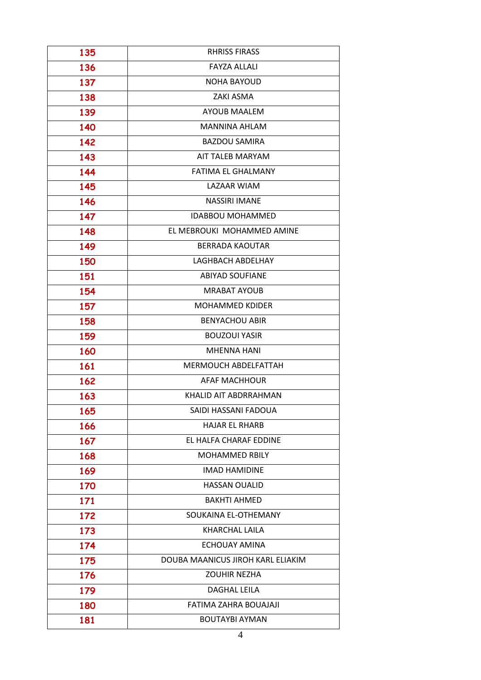| 135 | <b>RHRISS FIRASS</b>              |
|-----|-----------------------------------|
| 136 | <b>FAYZA ALLALI</b>               |
| 137 | <b>NOHA BAYOUD</b>                |
| 138 | ZAKI ASMA                         |
| 139 | <b>AYOUB MAALEM</b>               |
| 140 | <b>MANNINA AHLAM</b>              |
| 142 | <b>BAZDOU SAMIRA</b>              |
| 143 | <b>AIT TALEB MARYAM</b>           |
| 144 | FATIMA EL GHALMANY                |
| 145 | LAZAAR WIAM                       |
| 146 | <b>NASSIRI IMANE</b>              |
| 147 | <b>IDABBOU MOHAMMED</b>           |
| 148 | EL MEBROUKI MOHAMMED AMINE        |
| 149 | <b>BERRADA KAOUTAR</b>            |
| 150 | LAGHBACH ABDELHAY                 |
| 151 | <b>ABIYAD SOUFIANE</b>            |
| 154 | <b>MRABAT AYOUB</b>               |
| 157 | <b>MOHAMMED KDIDER</b>            |
| 158 | <b>BENYACHOU ABIR</b>             |
| 159 | <b>BOUZOUI YASIR</b>              |
| 160 | <b>MHENNA HANI</b>                |
| 161 | MERMOUCH ABDELFATTAH              |
| 162 | AFAF MACHHOUR                     |
| 163 | KHALID AIT ABDRRAHMAN             |
| 165 | SAIDI HASSANI FADOUA              |
| 166 | <b>HAJAR EL RHARB</b>             |
| 167 | EL HALFA CHARAF EDDINE            |
| 168 | <b>MOHAMMED RBILY</b>             |
| 169 | <b>IMAD HAMIDINE</b>              |
| 170 | <b>HASSAN OUALID</b>              |
| 171 | <b>BAKHTI AHMED</b>               |
| 172 | SOUKAINA EL-OTHEMANY              |
| 173 | <b>KHARCHAL LAILA</b>             |
| 174 | ECHOUAY AMINA                     |
| 175 | DOUBA MAANICUS JIROH KARL ELIAKIM |
| 176 | <b>ZOUHIR NEZHA</b>               |
| 179 | DAGHAL LEILA                      |
| 180 | FATIMA ZAHRA BOUAJAJI             |
| 181 | <b>BOUTAYBI AYMAN</b>             |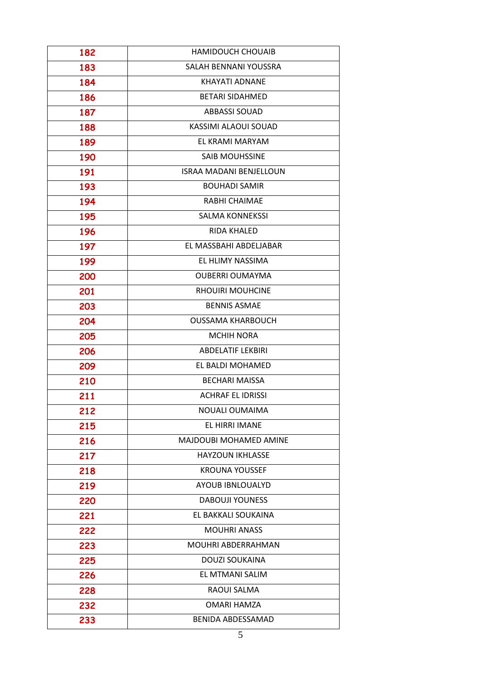| 182 | <b>HAMIDOUCH CHOUAIB</b>       |
|-----|--------------------------------|
| 183 | SALAH BENNANI YOUSSRA          |
| 184 | KHAYATI ADNANE                 |
| 186 | <b>BETARI SIDAHMED</b>         |
| 187 | <b>ABBASSI SOUAD</b>           |
| 188 | KASSIMI ALAOUI SOUAD           |
| 189 | EL KRAMI MARYAM                |
| 190 | <b>SAIB MOUHSSINE</b>          |
| 191 | <b>ISRAA MADANI BENJELLOUN</b> |
| 193 | <b>BOUHADI SAMIR</b>           |
| 194 | RABHI CHAIMAE                  |
| 195 | <b>SALMA KONNEKSSI</b>         |
| 196 | <b>RIDA KHALED</b>             |
| 197 | EL MASSBAHI ABDELJABAR         |
| 199 | EL HLIMY NASSIMA               |
| 200 | <b>OUBERRI OUMAYMA</b>         |
| 201 | <b>RHOUIRI MOUHCINE</b>        |
| 203 | <b>BENNIS ASMAE</b>            |
| 204 | <b>OUSSAMA KHARBOUCH</b>       |
| 205 | <b>MCHIH NORA</b>              |
| 206 | <b>ABDELATIF LEKBIRI</b>       |
| 209 | EL BALDI MOHAMED               |
| 210 | <b>BECHARI MAISSA</b>          |
| 211 | <b>ACHRAF EL IDRISSI</b>       |
| 212 | NOUALI OUMAIMA                 |
| 215 | EL HIRRI IMANE                 |
| 216 | <b>MAJDOUBI MOHAMED AMINE</b>  |
| 217 | <b>HAYZOUN IKHLASSE</b>        |
| 218 | <b>KROUNA YOUSSEF</b>          |
| 219 | <b>AYOUB IBNLOUALYD</b>        |
| 220 | <b>DABOUJI YOUNESS</b>         |
| 221 | EL BAKKALI SOUKAINA            |
| 222 | <b>MOUHRI ANASS</b>            |
| 223 | MOUHRI ABDERRAHMAN             |
| 225 | <b>DOUZI SOUKAINA</b>          |
| 226 | EL MTMANI SALIM                |
| 228 | RAOUI SALMA                    |
| 232 | <b>OMARI HAMZA</b>             |
| 233 | BENIDA ABDESSAMAD              |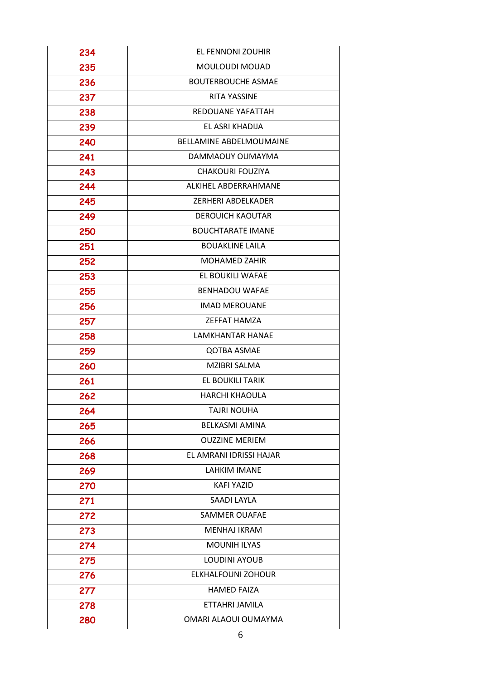| 234 | EL FENNONI ZOUHIR              |
|-----|--------------------------------|
| 235 | MOULOUDI MOUAD                 |
| 236 | <b>BOUTERBOUCHE ASMAE</b>      |
| 237 | <b>RITA YASSINE</b>            |
| 238 | REDOUANE YAFATTAH              |
| 239 | EL ASRI KHADIJA                |
| 240 | <b>BELLAMINE ABDELMOUMAINE</b> |
| 241 | DAMMAOUY OUMAYMA               |
| 243 | <b>CHAKOURI FOUZIYA</b>        |
| 244 | <b>ALKIHEL ABDERRAHMANE</b>    |
| 245 | ZERHERI ABDELKADER             |
| 249 | <b>DEROUICH KAOUTAR</b>        |
| 250 | <b>BOUCHTARATE IMANE</b>       |
| 251 | <b>BOUAKLINE LAILA</b>         |
| 252 | <b>MOHAMED ZAHIR</b>           |
| 253 | EL BOUKILI WAFAE               |
| 255 | <b>BENHADOU WAFAE</b>          |
| 256 | <b>IMAD MEROUANE</b>           |
| 257 | ZEFFAT HAMZA                   |
| 258 | LAMKHANTAR HANAE               |
| 259 | <b>QOTBA ASMAE</b>             |
| 260 | <b>MZIBRI SALMA</b>            |
| 261 | EL BOUKILI TARIK               |
| 262 | <b>HARCHI KHAOULA</b>          |
| 264 | TAJRI NOUHA                    |
| 265 | <b>BELKASMI AMINA</b>          |
| 266 | <b>OUZZINE MERIEM</b>          |
| 268 | EL AMRANI IDRISSI HAJAR        |
| 269 | LAHKIM IMANE                   |
| 270 | <b>KAFI YAZID</b>              |
| 271 | <b>SAADI LAYLA</b>             |
| 272 | <b>SAMMER OUAFAE</b>           |
| 273 | <b>MENHAJ IKRAM</b>            |
| 274 | <b>MOUNIH ILYAS</b>            |
| 275 | <b>LOUDINI AYOUB</b>           |
| 276 | <b>ELKHALFOUNI ZOHOUR</b>      |
| 277 | <b>HAMED FAIZA</b>             |
| 278 | ETTAHRI JAMILA                 |
| 280 | OMARI ALAOUI OUMAYMA           |